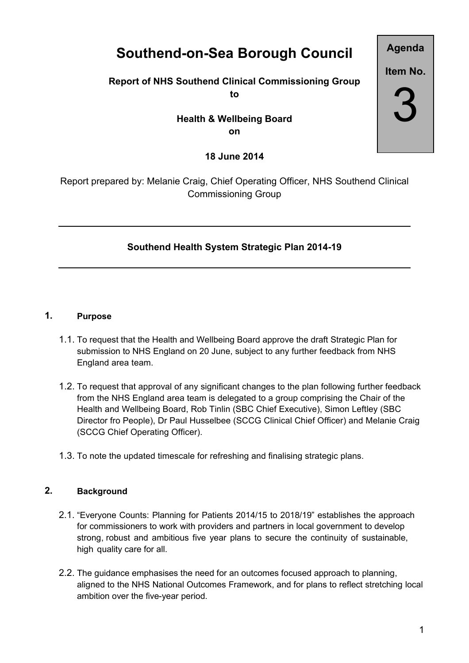# **Southend-on-Sea Borough Council**

## **Report of NHS Southend Clinical Commissioning Group to**

## **Health & Wellbeing Board on**

**18 June 2014**

Report prepared by: Melanie Craig, Chief Operating Officer, NHS Southend Clinical Commissioning Group

# **Southend Health System Strategic Plan 2014-19**

#### **1. Purpose**

- 1.1. To request that the Health and Wellbeing Board approve the draft Strategic Plan for submission to NHS England on 20 June, subject to any further feedback from NHS England area team.
- 1.2. To request that approval of any significant changes to the plan following further feedback from the NHS England area team is delegated to a group comprising the Chair of the Health and Wellbeing Board, Rob Tinlin (SBC Chief Executive), Simon Leftley (SBC Director fro People), Dr Paul Husselbee (SCCG Clinical Chief Officer) and Melanie Craig (SCCG Chief Operating Officer).
- 1.3. To note the updated timescale for refreshing and finalising strategic plans.

#### **2. Background**

- 2.1. "Everyone Counts: Planning for Patients 2014/15 to 2018/19" establishes the approach for commissioners to work with providers and partners in local government to develop strong, robust and ambitious five year plans to secure the continuity of sustainable, high quality care for all.
- 2.2. The guidance emphasises the need for an outcomes focused approach to planning, aligned to the NHS National Outcomes Framework, and for plans to reflect stretching local ambition over the five-year period.

**Agenda Item No.**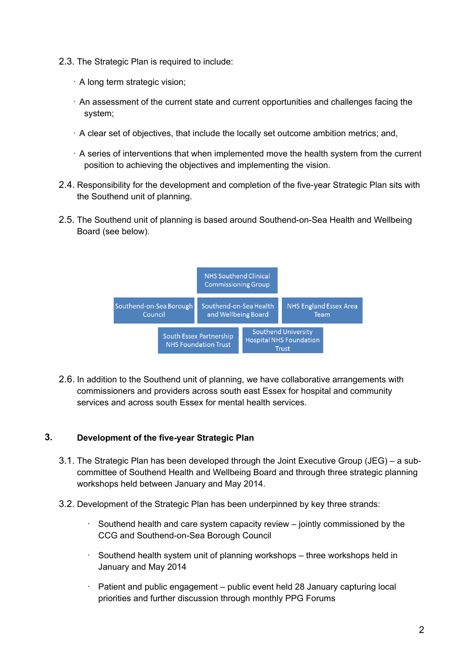- 2.3. The Strategic Plan is required to include:
	- · A long term strategic vision;
	- · An assessment of the current state and current opportunities and challenges facing the system;
	- · A clear set of objectives, that include the locally set outcome ambition metrics; and,
	- · A series of interventions that when implemented move the health system from the current position to achieving the objectives and implementing the vision.
- 2.4. Responsibility for the development and completion of the five-year Strategic Plan sits with the Southend unit of planning.
- 2.5. The Southend unit of planning is based around Southend-on-Sea Health and Wellbeing Board (see below).



2.6. In addition to the Southend unit of planning, we have collaborative arrangements with commissioners and providers across south east Essex for hospital and community services and across south Essex for mental health services.

#### **3. Development of the five-year Strategic Plan**

- 3.1. The Strategic Plan has been developed through the Joint Executive Group (JEG) a subcommittee of Southend Health and Wellbeing Board and through three strategic planning workshops held between January and May 2014.
- 3.2. Development of the Strategic Plan has been underpinned by key three strands:
	- Southend health and care system capacity review jointly commissioned by the CCG and Southend-on-Sea Borough Council
	- Southend health system unit of planning workshops three workshops held in January and May 2014
	- Patient and public engagement public event held 28 January capturing local priorities and further discussion through monthly PPG Forums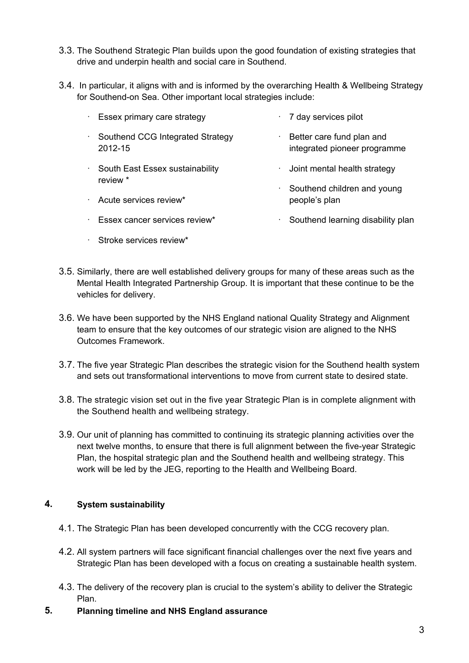- 3.3. The Southend Strategic Plan builds upon the good foundation of existing strategies that drive and underpin health and social care in Southend.
- 3.4. In particular, it aligns with and is informed by the overarching Health & Wellbeing Strategy for Southend-on Sea. Other important local strategies include:

| Essex primary care strategy | 7 day services pilot |
|-----------------------------|----------------------|
|-----------------------------|----------------------|

- · Southend CCG Integrated Strategy 2012-15 · Better care fund plan and integrated pioneer programme
- · South East Essex sustainability review \* · Joint mental health strategy · Southend children and young
- · Acute services review\*

· Stroke services review\*

- · Essex cancer services review\*
- · Southend learning disability plan

people's plan

- 3.5. Similarly, there are well established delivery groups for many of these areas such as the Mental Health Integrated Partnership Group. It is important that these continue to be the vehicles for delivery.
- 3.6. We have been supported by the NHS England national Quality Strategy and Alignment team to ensure that the key outcomes of our strategic vision are aligned to the NHS Outcomes Framework.
- 3.7. The five year Strategic Plan describes the strategic vision for the Southend health system and sets out transformational interventions to move from current state to desired state.
- 3.8. The strategic vision set out in the five year Strategic Plan is in complete alignment with the Southend health and wellbeing strategy.
- 3.9. Our unit of planning has committed to continuing its strategic planning activities over the next twelve months, to ensure that there is full alignment between the five-year Strategic Plan, the hospital strategic plan and the Southend health and wellbeing strategy. This work will be led by the JEG, reporting to the Health and Wellbeing Board.

#### **4. System sustainability**

- 4.1. The Strategic Plan has been developed concurrently with the CCG recovery plan.
- 4.2. All system partners will face significant financial challenges over the next five years and Strategic Plan has been developed with a focus on creating a sustainable health system.
- 4.3. The delivery of the recovery plan is crucial to the system's ability to deliver the Strategic Plan.
- **5. Planning timeline and NHS England assurance**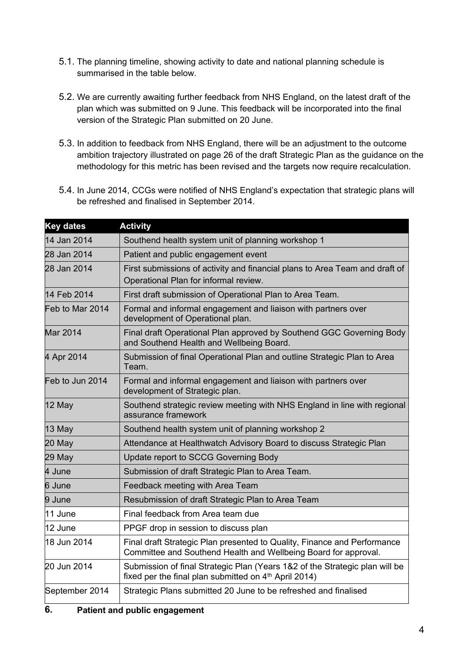- 5.1. The planning timeline, showing activity to date and national planning schedule is summarised in the table below.
- 5.2. We are currently awaiting further feedback from NHS England, on the latest draft of the plan which was submitted on 9 June. This feedback will be incorporated into the final version of the Strategic Plan submitted on 20 June.
- 5.3. In addition to feedback from NHS England, there will be an adjustment to the outcome ambition trajectory illustrated on page 26 of the draft Strategic Plan as the guidance on the methodology for this metric has been revised and the targets now require recalculation.
- 5.4. In June 2014, CCGs were notified of NHS England's expectation that strategic plans will be refreshed and finalised in September 2014.

| <b>Key dates</b> | <b>Activity</b>                                                                                                                                  |
|------------------|--------------------------------------------------------------------------------------------------------------------------------------------------|
| 14 Jan 2014      | Southend health system unit of planning workshop 1                                                                                               |
| 28 Jan 2014      | Patient and public engagement event                                                                                                              |
| 28 Jan 2014      | First submissions of activity and financial plans to Area Team and draft of<br>Operational Plan for informal review.                             |
| 14 Feb 2014      | First draft submission of Operational Plan to Area Team.                                                                                         |
| Feb to Mar 2014  | Formal and informal engagement and liaison with partners over<br>development of Operational plan.                                                |
| Mar 2014         | Final draft Operational Plan approved by Southend GGC Governing Body<br>and Southend Health and Wellbeing Board.                                 |
| 4 Apr 2014       | Submission of final Operational Plan and outline Strategic Plan to Area<br>Team.                                                                 |
| Feb to Jun 2014  | Formal and informal engagement and liaison with partners over<br>development of Strategic plan.                                                  |
| 12 May           | Southend strategic review meeting with NHS England in line with regional<br>assurance framework                                                  |
| 13 May           | Southend health system unit of planning workshop 2                                                                                               |
| 20 May           | Attendance at Healthwatch Advisory Board to discuss Strategic Plan                                                                               |
| 29 May           | Update report to SCCG Governing Body                                                                                                             |
| 4 June           | Submission of draft Strategic Plan to Area Team.                                                                                                 |
| 6 June           | Feedback meeting with Area Team                                                                                                                  |
| 9 June           | Resubmission of draft Strategic Plan to Area Team                                                                                                |
| 11 June          | Final feedback from Area team due                                                                                                                |
| 12 June          | PPGF drop in session to discuss plan                                                                                                             |
| 18 Jun 2014      | Final draft Strategic Plan presented to Quality, Finance and Performance<br>Committee and Southend Health and Wellbeing Board for approval.      |
| 20 Jun 2014      | Submission of final Strategic Plan (Years 1&2 of the Strategic plan will be<br>fixed per the final plan submitted on 4 <sup>th</sup> April 2014) |
| September 2014   | Strategic Plans submitted 20 June to be refreshed and finalised                                                                                  |